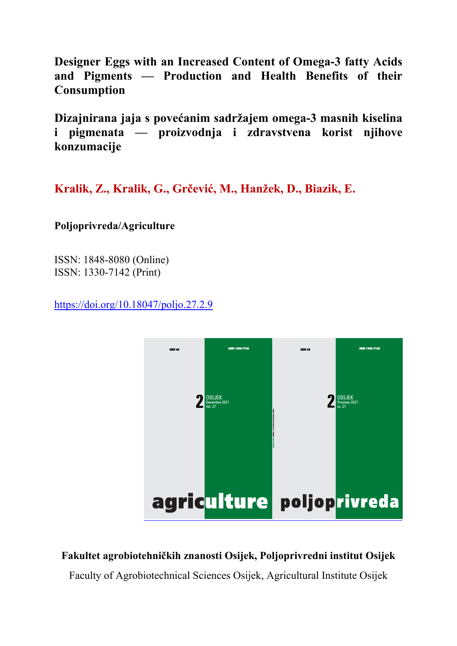**Designer Eggs with an Increased Content of Omega-3 fatty Acids and Pigments — Production and Health Benefits of their Consumption**

**Dizajnirana jaja s povećanim sadržajem omega-3 masnih kiselina i pigmenata — proizvodnja i zdravstvena korist njihove konzumacije** 

**Kralik, Z., Kralik, G., Grčević, M., Hanžek, D., Biazik, E.**

## **Poljoprivreda/Agriculture**

ISSN: 1848-8080 (Online) ISSN: 1330-7142 (Print)

https://doi.org/10.18047/poljo.27.2.9



## **Fakultet agrobiotehničkih znanosti Osijek, Poljoprivredni institut Osijek**

Faculty of Agrobiotechnical Sciences Osijek, Agricultural Institute Osijek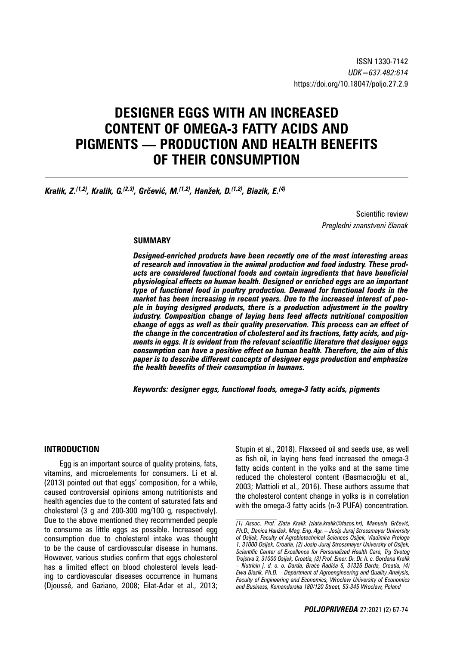# **DESIGNER EGGS WITH AN INCREASED CONTENT OF OMEGA-3 FATTY ACIDS AND PIGMENTS — PRODUCTION AND HEALTH BENEFITS OF THEIR CONSUMPTION**

*Kralik, Z.(1,2), Kralik, G.(2,3), Grčević, M.(1,2), Hanžek, D.(1,2), Biazik, E.(4)*

Scientific review *Pregledni znanstveni članak*

#### **SUMMARY**

*Designed-enriched products have been recently one of the most interesting areas of research and innovation in the animal production and food industry. These products are considered functional foods and contain ingredients that have beneficial physiological effects on human health. Designed or enriched eggs are an important type of functional food in poultry production. Demand for functional foods in the market has been increasing in recent years. Due to the increased interest of people in buying designed products, there is a production adjustment in the poultry industry. Composition change of laying hens feed affects nutritional composition change of eggs as well as their quality preservation. This process can an effect of the change in the concentration of cholesterol and its fractions, fatty acids, and pigments in eggs. It is evident from the relevant scientific literature that designer eggs consumption can have a positive effect on human health. Therefore, the aim of this paper is to describe different concepts of designer eggs production and emphasize the health benefits of their consumption in humans.*

*Keywords: designer eggs, functional foods, omega-3 fatty acids, pigments*

#### **INTRODUCTION**

Egg is an important source of quality proteins, fats, vitamins, and microelements for consumers. Li et al. (2013) pointed out that eggs' composition, for a while, caused controversial opinions among nutritionists and health agencies due to the content of saturated fats and cholesterol (3 g and 200-300 mg/100 g, respectively). Due to the above mentioned they recommended people to consume as little eggs as possible. Increased egg consumption due to cholesterol intake was thought to be the cause of cardiovascular disease in humans. However, various studies confirm that eggs cholesterol has a limited effect on blood cholesterol levels leading to cardiovascular diseases occurrence in humans (Djoussé, and Gaziano, 2008; Eilat-Adar et al., 2013;

Stupin et al., 2018). Flaxseed oil and seeds use, as well as fish oil, in laying hens feed increased the omega-3 fatty acids content in the yolks and at the same time reduced the cholesterol content (Basmacıoğlu et al., 2003; Mattioli et al., 2016). These authors assume that the cholesterol content change in yolks is in correlation with the omega-3 fatty acids (n-3 PUFA) concentration.

*<sup>(1)</sup> Assoc. Prof. Zlata Kralik (zlata.kralik@fazos.hr), Manuela Grčević, Ph.D., Danica Hanžek, Mag. Eng. Agr. – Josip Juraj Strossmayer University of Osijek, Faculty of Agrobiotechnical Sciences Osijek, Vladimira Preloga 1, 31000 Osijek, Croatia, (2) Josip Juraj Strossmayer University of Osijek, Scientific Center of Excellence for Personalized Health Care, Trg Svetog Trojstva 3, 31000 Osijek, Croatia, (3) Prof. Emer. Dr. Dr. h. c. Gordana Kralik – Nutricin j. d. o. o. Darda, Braće Radića 6, 31326 Darda, Croatia, (4) Ewa Biazik, Ph.D. – Department of Agroengineering and Quality Analysis, Faculty of Engineering and Economics, Wroclaw University of Economics and Business, Komandorska 180/120 Street, 53-345 Wroclaw, Poland*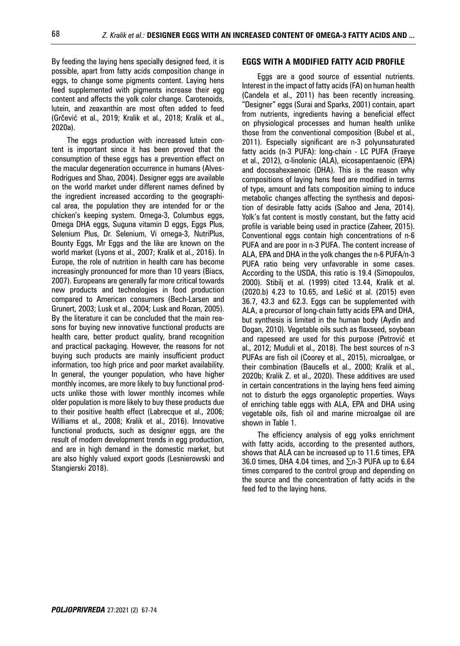By feeding the laying hens specially designed feed, it is possible, apart from fatty acids composition change in eggs, to change some pigments content. Laying hens feed supplemented with pigments increase their egg content and affects the yolk color change. Carotenoids, lutein, and zeaxanthin are most often added to feed (Grčević et al., 2019; Kralik et al., 2018; Kralik et al., 2020a).

The eggs production with increased lutein content is important since it has been proved that the consumption of these eggs has a prevention effect on the macular degeneration occurrence in humans (Alves-Rodrigues and Shao, 2004). Designer eggs are available on the world market under different names defined by the ingredient increased according to the geographical area, the population they are intended for or the chicken's keeping system. Omega-3, Columbus eggs, Omega DHA eggs, Suguna vitamin D eggs, Eggs Plus, Selenium Plus, Dr. Selenium, Vi omega-3, NutriPlus, Bounty Eggs, Mr Eggs and the like are known on the world market (Lyons et al., 2007; Kralik et al., 2016). In Europe, the role of nutrition in health care has become increasingly pronounced for more than 10 years (Biacs, 2007). Europeans are generally far more critical towards new products and technologies in food production compared to American consumers (Bech-Larsen and Grunert, 2003; Lusk et al., 2004; Lusk and Rozan, 2005). By the literature it can be concluded that the main reasons for buying new innovative functional products are health care, better product quality, brand recognition and practical packaging. However, the reasons for not buying such products are mainly insufficient product information, too high price and poor market availability. In general, the younger population, who have higher monthly incomes, are more likely to buy functional products unlike those with lower monthly incomes while older population is more likely to buy these products due to their positive health effect (Labrecque et al., 2006; Williams et al., 2008; Kralik et al., 2016). Innovative functional products, such as designer eggs, are the result of modern development trends in egg production, and are in high demand in the domestic market, but are also highly valued export goods (Lesnierowski and Stangierski 2018).

#### **EGGS WITH A MODIFIED FATTY ACID PROFILE**

Eggs are a good source of essential nutrients. Interest in the impact of fatty acids (FA) on human health (Candela et al., 2011) has been recently increasing. "Designer" eggs (Surai and Sparks, 2001) contain, apart from nutrients, ingredients having a beneficial effect on physiological processes and human health unlike those from the conventional composition (Bubel et al., 2011). Especially significant are n-3 polyunsaturated fatty acids (n-3 PUFA): long-chain - LC PUFA (Fraeye et al., 2012), α-linolenic (ALA), eicosapentaenoic (EPA) and docosahexaenoic (DHA). This is the reason why compositions of laying hens feed are modified in terms of type, amount and fats composition aiming to induce metabolic changes affecting the synthesis and deposition of desirable fatty acids (Sahoo and Jena, 2014). Yolk's fat content is mostly constant, but the fatty acid profile is variable being used in practice (Zaheer, 2015). Conventional eggs contain high concentrations of n-6 PUFA and are poor in n-3 PUFA. The content increase of ALA, EPA and DHA in the yolk changes the n-6 PUFA/n-3 PUFA ratio being very unfavorable in some cases. According to the USDA, this ratio is 19.4 (Simopoulos, 2000). Stibilj et al. (1999) cited 13.44, Kralik et al. (2020.b) 4.23 to 10.65, and Lešić et al. (2015) even 36.7, 43.3 and 62.3. Eggs can be supplemented with ALA, a precursor of long-chain fatty acids EPA and DHA, but synthesis is limited in the human body (Aydin and Dogan, 2010). Vegetable oils such as flaxseed, soybean and rapeseed are used for this purpose (Petrović et al., 2012; Muduli et al., 2018). The best sources of n-3 PUFAs are fish oil (Coorey et al., 2015), microalgae, or their combination (Baucells et al., 2000; Kralik et al., 2020b; Kralik Z. et al., 2020). These additives are used in certain concentrations in the laying hens feed aiming not to disturb the eggs organoleptic properties. Ways of enriching table eggs with ALA, EPA and DHA using vegetable oils, fish oil and marine microalgae oil are shown in Table 1.

The efficiency analysis of egg yolks enrichment with fatty acids, according to the presented authors, shows that ALA can be increased up to 11.6 times, EPA 36.0 times, DHA 4.04 times, and  $\Sigma$ n-3 PUFA up to 6.64 times compared to the control group and depending on the source and the concentration of fatty acids in the feed fed to the laying hens.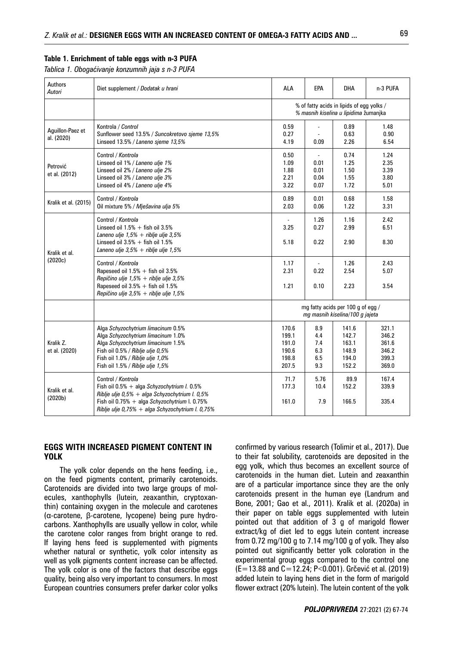#### **Table 1. Enrichment of table eggs with n-3 PUFA**

*Tablica 1. Obogaćivanje konzumnih jaja s n-3 PUFA* 

| Authors<br>Autori                     | Diet supplement / Dodatak u hrani                                                                                                                                                                                          | <b>ALA</b>                                                                         | EPA                                            | <b>DHA</b>                                         | n-3 PUFA                                           |
|---------------------------------------|----------------------------------------------------------------------------------------------------------------------------------------------------------------------------------------------------------------------------|------------------------------------------------------------------------------------|------------------------------------------------|----------------------------------------------------|----------------------------------------------------|
|                                       |                                                                                                                                                                                                                            | % of fatty acids in lipids of eqq yolks /<br>% masnih kiselina u lipidima žumanjka |                                                |                                                    |                                                    |
| Aguillon-Paez et<br>al. (2020)        | Kontrola / Control<br>Sunflower seed 13.5% / Suncokretovo sjeme 13,5%<br>Linseed 13.5% / Laneno sjeme 13,5%                                                                                                                | 0.59<br>0.27<br>4.19                                                               | $\blacksquare$<br>0.09                         | 0.89<br>0.63<br>2.26                               | 1.48<br>0.90<br>6.54                               |
| Petrović<br>et al. (2012)             | Control / Kontrola<br>Linseed oil 1% / Laneno ulje 1%<br>Linseed oil 2% / Laneno ulje 2%<br>Linseed oil 3% / Laneno ulje 3%<br>Linseed oil 4% / Laneno ulje 4%                                                             | 0.50<br>1.09<br>1.88<br>2.21<br>3.22                                               | $\overline{a}$<br>0.01<br>0.01<br>0.04<br>0.07 | 0.74<br>1.25<br>1.50<br>1.55<br>1.72               | 1.24<br>2.35<br>3.39<br>3.80<br>5.01               |
| Kralik et al. (2015)                  | Control / Kontrola<br>Oil mixture 5% / Mješavina ulja 5%                                                                                                                                                                   | 0.89<br>2.03                                                                       | 0.01<br>0.06                                   | 0.68<br>1.22                                       | 1.58<br>3.31                                       |
| Kralik et al.<br>(2020c)              | Control / Kontrola<br>Linseed oil $1.5% +$ fish oil 3.5%<br>Laneno ulje $1,5% +$ riblje ulje 3,5%<br>Linseed oil $3.5% +$ fish oil 1.5%<br>Laneno ulje $3,5% +$ riblje ulje 1,5%                                           | 3.25<br>5.18                                                                       | 1.26<br>0.27<br>0.22                           | 1.16<br>2.99<br>2.90                               | 2.42<br>6.51<br>8.30                               |
|                                       | Control / Kontrola<br>Rapeseed oil $1.5%$ + fish oil 3.5%<br>Repičino ulje 1,5% + riblje ulje 3,5%<br>Rapeseed oil $3.5% +$ fish oil 1.5%<br>Repičino ulje $3.5% +$ riblje ulje 1.5%                                       | 1.17<br>2.31<br>1.21                                                               | $\blacksquare$<br>0.22<br>0.10                 | 1.26<br>2.54<br>2.23                               | 2.43<br>5.07<br>3.54                               |
|                                       |                                                                                                                                                                                                                            | mg fatty acids per 100 g of egg /<br>mg masnih kiselina/100 g jajeta               |                                                |                                                    |                                                    |
| Kralik Z.<br>et al. (2020)            | Alga Schyzochytrium limacinum 0.5%<br>Alga Schyzochytrium limacinum 1.0%<br>Alga Schyzochytrium limacinum 1.5%<br>Fish oil 0.5% / Riblje ulje 0,5%<br>Fish oil 1.0% / Riblje ulje 1,0%<br>Fish oil 1.5% / Riblje ulje 1,5% | 170.6<br>199.1<br>191.0<br>190.6<br>198.8<br>207.5                                 | 8.9<br>4.4<br>7.4<br>6.3<br>6.5<br>9.3         | 141.6<br>142.7<br>163.1<br>148.9<br>194.0<br>152.2 | 321.1<br>346.2<br>361.6<br>346.2<br>399.3<br>369.0 |
| Kralik et al.<br>(2020 <sub>b</sub> ) | Control / Kontrola<br>Fish oil 0.5% + alga Schyzochytrium I. 0.5%<br>Riblje ulje 0,5% + alga Schyzochytrium I. 0,5%<br>Fish oil 0.75% + alga Schyzochytrium I. 0.75%<br>Riblje ulje 0,75% + alga Schyzochytrium I. 0,75%   | 71.7<br>177.3<br>161.0                                                             | 5.76<br>10.4<br>7.9                            | 89.9<br>152.2<br>166.5                             | 167.4<br>339.9<br>335.4                            |

#### **EGGS WITH INCREASED PIGMENT CONTENT IN YOLK**

The yolk color depends on the hens feeding, i.e., on the feed pigments content, primarily carotenoids. Carotenoids are divided into two large groups of molecules, xanthophylls (lutein, zeaxanthin, cryptoxanthin) containing oxygen in the molecule and carotenes (α-carotene, β-carotene, lycopene) being pure hydrocarbons. Xanthophylls are usually yellow in color, while the carotene color ranges from bright orange to red. If laying hens feed is supplemented with pigments whether natural or synthetic, yolk color intensity as well as yolk pigments content increase can be affected. The yolk color is one of the factors that describe eggs quality, being also very important to consumers. In most European countries consumers prefer darker color yolks

confirmed by various research (Tolimir et al., 2017). Due to their fat solubility, carotenoids are deposited in the egg yolk, which thus becomes an excellent source of carotenoids in the human diet. Lutein and zeaxanthin are of a particular importance since they are the only carotenoids present in the human eye (Landrum and Bone, 2001; Gao et al., 2011). Kralik et al. (2020a) in their paper on table eggs supplemented with lutein pointed out that addition of 3 g of marigold flower extract/kg of diet led to eggs lutein content increase from 0.72 mg/100 g to 7.14 mg/100 g of yolk. They also pointed out significantly better yolk coloration in the experimental group eggs compared to the control one (E=13.88 and C=12.24; P<0.001). Grčević et al. (2019) added lutein to laying hens diet in the form of marigold flower extract (20% lutein). The lutein content of the yolk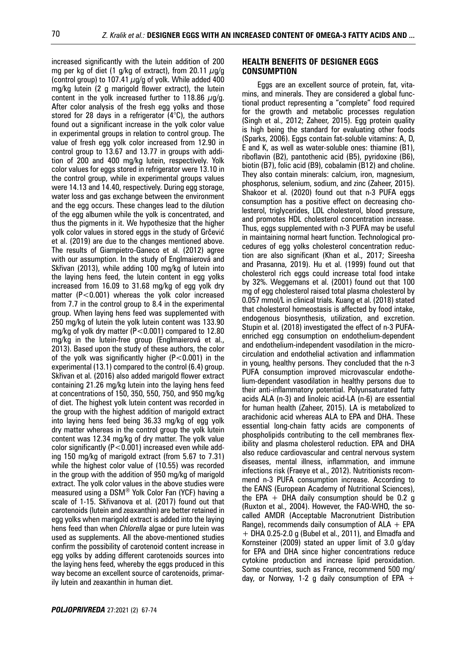increased significantly with the lutein addition of 200 mg per kg of diet (1 g/kg of extract), from 20.11  $\mu$ g/g (control group) to 107.41  $\mu$ g/g of yolk. While added 400 mg/kg lutein (2 g marigold flower extract), the lutein content in the yolk increased further to 118.86  $\mu$ g/g. After color analysis of the fresh egg yolks and those stored for 28 days in a refrigerator  $(4^{\circ}C)$ , the authors found out a significant increase in the yolk color value in experimental groups in relation to control group. The value of fresh egg yolk color increased from 12.90 in control group to 13.67 and 13.77 in groups with addition of 200 and 400 mg/kg lutein, respectively. Yolk color values for eggs stored in refrigerator were 13.10 in the control group, while in experimental groups values were 14.13 and 14.40, respectively. During egg storage, water loss and gas exchange between the environment and the egg occurs. These changes lead to the dilution of the egg albumen while the yolk is concentrated, and thus the pigments in it. We hypothesize that the higher yolk color values in stored eggs in the study of Grčević et al. (2019) are due to the changes mentioned above. The results of Giampietro-Ganeco et al. (2012) agree with our assumption. In the study of Englmaierová and Skřivan (2013), while adding 100 mg/kg of lutein into the laying hens feed, the lutein content in egg yolks increased from 16.09 to 31.68 mg/kg of egg yolk dry matter (P<0.001) whereas the yolk color increased from 7.7 in the control group to 8.4 in the experimental group. When laying hens feed was supplemented with 250 mg/kg of lutein the yolk lutein content was 133.90 mg/kg of yolk dry matter (P<0.001) compared to 12.80 mg/kg in the lutein-free group (Englmaierová et al., 2013). Based upon the study of these authors, the color of the yolk was significantly higher  $(P<0.001)$  in the experimental (13.1) compared to the control (6.4) group. Skřivan et al. (2016) also added marigold flower extract containing 21.26 mg/kg lutein into the laying hens feed at concentrations of 150, 350, 550, 750, and 950 mg/kg of diet. The highest yolk lutein content was recorded in the group with the highest addition of marigold extract into laying hens feed being 36.33 mg/kg of egg yolk dry matter whereas in the control group the yolk lutein content was 12.34 mg/kg of dry matter. The yolk value color significantly (P<0.001) increased even while adding 150 mg/kg of marigold extract (from 5.67 to 7.31) while the highest color value of (10.55) was recorded in the group with the addition of 950 mg/kg of marigold extract. The yolk color values in the above studies were measured using a DSM® Yolk Color Fan (YCF) having a scale of 1-15. Skřivanova et al. (2017) found out that carotenoids (lutein and zeaxanthin) are better retained in egg yolks when marigold extract is added into the laying hens feed than when *Chlorella* algae or pure lutein was used as supplements. All the above-mentioned studies confirm the possibility of carotenoid content increase in egg yolks by adding different carotenoids sources into the laying hens feed, whereby the eggs produced in this way become an excellent source of carotenoids, primarily lutein and zeaxanthin in human diet.

#### **HEALTH BENEFITS OF DESIGNER EGGS CONSUMPTION**

Eggs are an excellent source of protein, fat, vitamins, and minerals. They are considered a global functional product representing a "complete" food required for the growth and metabolic processes regulation (Singh et al., 2012; Zaheer, 2015). Egg protein quality is high being the standard for evaluating other foods (Sparks, 2006). Eggs contain fat-soluble vitamins: A, D, E and K, as well as water-soluble ones: thiamine (B1), riboflavin (B2), pantothenic acid (B5), pyridoxine (B6), biotin (B7), folic acid (B9), cobalamin (B12) and choline. They also contain minerals: calcium, iron, magnesium, phosphorus, selenium, sodium, and zinc (Zaheer, 2015). Shakoor et al. (2020) found out that n-3 PUFA eggs consumption has a positive effect on decreasing cholesterol, triglycerides, LDL cholesterol, blood pressure, and promotes HDL cholesterol concentration increase. Thus, eggs supplemented with n-3 PUFA may be useful in maintaining normal heart function. Technological procedures of egg yolks cholesterol concentration reduction are also significant (Khan et al., 2017; Sireesha and Prasanna, 2019). Hu et al. (1999) found out that cholesterol rich eggs could increase total food intake by 32%. Weggemans et al. (2001) found out that 100 mg of egg cholesterol raised total plasma cholesterol by 0.057 mmol/L in clinical trials. Kuang et al. (2018) stated that cholesterol homeostasis is affected by food intake, endogenous biosynthesis, utilization, and excretion. Stupin et al. (2018) investigated the effect of n-3 PUFAenriched egg consumption on endothelium-dependent and endothelium-independent vasodilation in the microcirculation and endothelial activation and inflammation in young, healthy persons. They concluded that the n-3 PUFA consumption improved microvascular endothelium-dependent vasodilation in healthy persons due to their anti-inflammatory potential. Polyunsaturated fatty acids ALA (n-3) and linoleic acid-LA (n-6) are essential for human health (Zaheer, 2015). LA is metabolized to arachidonic acid whereas ALA to EPA and DHA. These essential long-chain fatty acids are components of phospholipids contributing to the cell membranes flexibility and plasma cholesterol reduction. EPA and DHA also reduce cardiovascular and central nervous system diseases, mental illness, inflammation, and immune infections risk (Fraeye et al., 2012). Nutritionists recommend n-3 PUFA consumption increase. According to the EANS (European Academy of Nutritional Sciences), the EPA  $+$  DHA daily consumption should be 0.2 g (Ruxton et al., 2004). However, the FAO-WHO, the socalled AMDR (Acceptable Macronutrient Distribution Range), recommends daily consumption of  $ALA + EPA$ + DHA 0.25-2.0 g (Bubel et al., 2011), and Elmadfa and Kornsteiner (2009) stated an upper limit of 3.0 g/day for EPA and DHA since higher concentrations reduce cytokine production and increase lipid peroxidation. Some countries, such as France, recommend 500 mg/ day, or Norway, 1-2 g daily consumption of EPA  $+$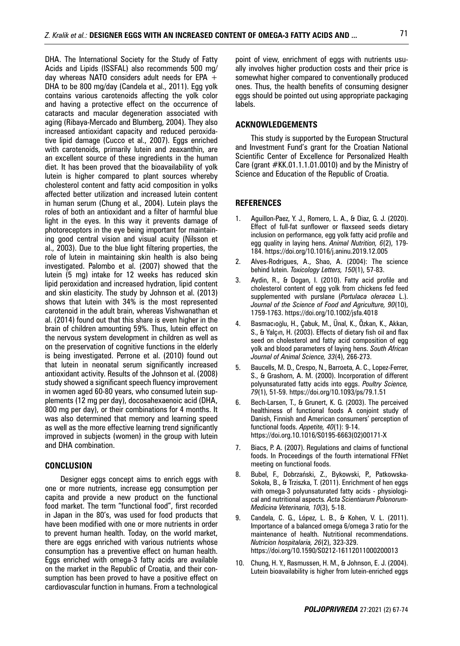DHA. The International Society for the Study of Fatty Acids and Lipids (ISSFAL) also recommends 500 mg/ day whereas NATO considers adult needs for EPA  $+$ DHA to be 800 mg/day (Candela et al., 2011). Egg yolk contains various carotenoids affecting the yolk color and having a protective effect on the occurrence of cataracts and macular degeneration associated with aging (Ribaya-Mercado and Blumberg, 2004). They also increased antioxidant capacity and reduced peroxidative lipid damage (Cucco et al., 2007). Eggs enriched with carotenoids, primarily lutein and zeaxanthin, are an excellent source of these ingredients in the human diet. It has been proved that the bioavailability of yolk lutein is higher compared to plant sources whereby cholesterol content and fatty acid composition in yolks affected better utilization and increased lutein content in human serum (Chung et al., 2004). Lutein plays the roles of both an antioxidant and a filter of harmful blue light in the eyes. In this way it prevents damage of photoreceptors in the eye being important for maintaining good central vision and visual acuity (Nilsson et al., 2003). Due to the blue light filtering properties, the role of lutein in maintaining skin health is also being investigated. Palombo et al. (2007) showed that the lutein (5 mg) intake for 12 weeks has reduced skin lipid peroxidation and increased hydration, lipid content and skin elasticity. The study by Johnson et al. (2013) shows that lutein with 34% is the most represented carotenoid in the adult brain, whereas Vishwanathan et al. (2014) found out that this share is even higher in the brain of children amounting 59%. Thus, lutein effect on the nervous system development in children as well as on the preservation of cognitive functions in the elderly is being investigated. Perrone et al. (2010) found out that lutein in neonatal serum significantly increased antioxidant activity. Results of the Johnson et al. (2008) study showed a significant speech fluency improvement in women aged 60-80 years, who consumed lutein supplements (12 mg per day), docosahexaenoic acid (DHA, 800 mg per day), or their combinations for 4 months. It was also determined that memory and learning speed as well as the more effective learning trend significantly improved in subjects (women) in the group with lutein and DHA combination.

#### **CONCLUSION**

Designer eggs concept aims to enrich eggs with one or more nutrients, increase egg consumption per capita and provide a new product on the functional food market. The term "functional food", first recorded in Japan in the 80's, was used for food products that have been modified with one or more nutrients in order to prevent human health. Today, on the world market, there are eggs enriched with various nutrients whose consumption has a preventive effect on human health. Eggs enriched with omega-3 fatty acids are available on the market in the Republic of Croatia, and their consumption has been proved to have a positive effect on cardiovascular function in humans. From a technological

point of view, enrichment of eggs with nutrients usually involves higher production costs and their price is somewhat higher compared to conventionally produced ones. Thus, the health benefits of consuming designer eggs should be pointed out using appropriate packaging labels.

#### **ACKNOWLEDGEMENTS**

This study is supported by the European Structural and Investment Fund's grant for the Croatian National Scientific Center of Excellence for Personalized Health Care (grant  $#KK.01.1.1.01.0010$ ) and by the Ministry of Science and Education of the Republic of Croatia.

#### **REFERENCES**

- 1. Aguillon-Paez, Y. J., Romero, L. A., & Diaz, G. J. (2020). Effect of full-fat sunflower or flaxseed seeds dietary inclusion on performance, egg yolk fatty acid profile and egg quality in laying hens. *Animal Nutrition, 6*(2), 179- 184. https://doi.org/10.1016/j.aninu.2019.12.005
- 2. Alves-Rodrigues, A., Shao, A. (2004): The science behind lutein. *Toxicology Letters, 150*(1), 57-83.
- 3. Aydin, R., & Dogan, I. (2010). Fatty acid profile and cholesterol content of egg yolk from chickens fed feed supplemented with purslane (*Portulaca oleracea* L.). *Journal of the Science of Food and Agriculture, 90*(10), 1759-1763. https://doi.org/10.1002/jsfa.4018
- 4. Basmacıoğlu, H., Çabuk, M., Ünal, K., Özkan, K., Akkan, S., & Yalçın, H. (2003). Effects of dietary fish oil and flax seed on cholesterol and fatty acid composition of egg yolk and blood parameters of laying hens. *South African Journal of Animal Science, 33*(4), 266-273.
- 5. Baucells, M. D., Crespo, N., Barroeta, A. C., Lopez-Ferrer, S., & Grashorn, A. M. (2000). Incorporation of different polyunsaturated fatty acids into eggs. *Poultry Science, 79*(1), 51-59. https://doi.org/10.1093/ps/79.1.51
- 6. Bech-Larsen, T., & Grunert, K. G. (2003). The perceived healthiness of functional foods A conjoint study of Danish, Finnish and American consumers' perception of functional foods. *Appetite, 40*(1): 9-14. https://doi.org.10.1016/S0195-6663(02)00171-X
- 7. Biacs, P. A. (2007). Regulations and claims of functional foods. In Proceedings of the fourth international FFNet meeting on functional foods.
- 8. Bubel, F., Dobrzański, Z., Bykowski, P., Patkowska-Sokoła, B., & Trziszka, T. (2011). Enrichment of hen eggs with omega-3 polyunsaturated fatty acids - physiological and nutritional aspects*. Acta Scientiarum Polonorum-Medicina Veterinaria, 10*(3), 5-18.
- 9. Candela, C. G., López, L. B., & Kohen, V. L. (2011). Importance of a balanced omega 6/omega 3 ratio for the maintenance of health. Nutritional recommendations. *Nutricion hospitalaria, 26*(2), 323-329. https://doi.org/10.1590/S0212-16112011000200013
- 10. Chung, H. Y., Rasmussen, H. M., & Johnson, E. J. (2004). Lutein bioavailability is higher from lutein-enriched eggs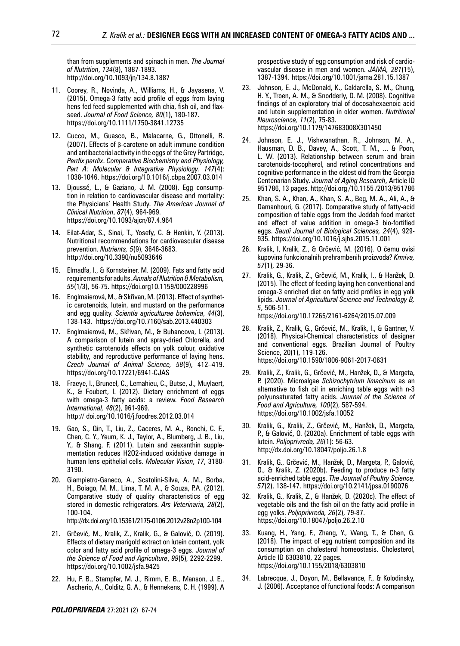than from supplements and spinach in men. *The Journal of Nutrition*, *134*(8), 1887-1893. http://doi.org/10.1093/jn/134.8.1887

- 11. Coorey, R., Novinda, A., Williams, H., & Jayasena, V. (2015). Omega-3 fatty acid profile of eggs from laying hens fed feed supplemented with chia, fish oil, and flaxseed. *Journal of Food Science, 80*(1), 180-187. https://doi.org/10.1111/1750-3841.12735
- 12. Cucco, M., Guasco, B., Malacarne, G., Ottonelli, R. (2007). Effects of β-carotene on adult immune condition and antibacterial activity in the eggs of the Grey Partridge, *Perdix perdix*. *Comparative Biochemistry and Physiology, Part A: Molecular & Integrative Physiology. 147*(4): 1038-1046. https://doi.org/10.1016/j.cbpa.2007.03.014
- 13. Djoussé, L., & Gaziano, J. M. (2008). Egg consumption in relation to cardiovascular disease and mortality: the Physicians' Health Study. *The American Journal of Clinical Nutrition*, *87*(4), 964-969. https://doi.org/10.1093/ajcn/87.4.964
- 14. Eilat-Adar, S., Sinai, T., Yosefy, C. & Henkin, Y. (2013). Nutritional recommendations for cardiovascular disease prevention. *Nutrients, 5*(9), 3646-3683. http://doi.org/10.3390/nu5093646
- 15. Elmadfa, I., & Kornsteiner, M. (2009). Fats and fatty acid requirements for adults. *Annals of Nutrition & Metabolism, 55*(1/3), 56-75. https://doi.org10.1159/000228996
- 16. Englmaierová, M., & Skřivan, M. (2013). Effect of synthetic carotenoids, lutein, and mustard on the performance and egg quality. *Scientia agriculturae bohemica*, *44*(3), 138-143. https://doi.org/10.7160/sab.2013.440303
- 17. Englmaierová, M., Skřivan, M., & Bubancova, I. (2013). A comparison of lutein and spray-dried Chlorella, and synthetic carotenoids effects on yolk colour, oxidative stability, and reproductive performance of laying hens. *Czech Journal of Animal Science, 58*(9), 412–419. https://doi.org/10.17221/6941-CJAS
- 18. Fraeye, I., Bruneel, C., Lemahieu, C., Butse, J., Muylaert, K., & Foubert, I. (2012). Dietary enrichment of eggs with omega-3 fatty acids: a review. *Food Research International, 48*(2), 961-969. http:// doi.org/10.1016/j.foodres.2012.03.014
- 19. Gao, S., Qin, T., Liu, Z., Caceres, M. A., Ronchi, C. F., Chen, C. Y., Yeum, K. J., Taylor, A., Blumberg, J. B., Liu, Y., & Shang, F. (2011). Lutein and zeaxanthin supplementation reduces H2O2-induced oxidative damage in human lens epithelial cells. *Molecular Vision*, *17*, 3180- 3190.
- 20. Giampietro-Ganeco, A., Scatolini-Silva, A. M., Borba, H., Boiago, M. M., Lima, T. M. A., & Souza, P.A. (2012). Comparative study of quality characteristics of egg stored in domestic refrigerators. *Ars Veterinaria, 28*(2), 100-104.

http://dx.doi.org/10.15361/2175-0106.2012v28n2p100-104

- 21. Grčević, M., Kralik, Z., Kralik, G., & Galović, O. (2019). Effects of dietary marigold extract on lutein content, yolk color and fatty acid profile of omega-3 eggs. *Journal of the Science of Food and Agriculture*, *99*(5), 2292-2299. https://doi.org/10.1002/jsfa.9425
- 22. Hu, F. B., Stampfer, M. J., Rimm, E. B., Manson, J. E., Ascherio, A., Colditz, G. A., & Hennekens, C. H. (1999). A

prospective study of egg consumption and risk of cardiovascular disease in men and women. *JAMA, 281*(15), 1387-1394. https://doi.org/10.1001/jama.281.15.1387

- 23. Johnson, E. J., McDonald, K., Caldarella, S. M., Chung, H. Y., Troen, A. M., & Snodderly, D. M. (2008). Cognitive findings of an exploratory trial of docosahexaenoic acid and lutein supplementation in older women. *Nutritional Neuroscience, 11*(2), 75-83. https://doi.org/10.1179/147683008X301450
- 24. Johnson, E. J., Vishwanathan, R., Johnson, M. A., Hausman, D. B., Davey, A., Scott, T. M., ... & Poon, L. W. (2013). Relationship between serum and brain carotenoids-tocopherol, and retinol concentrations and cognitive performance in the oldest old from the Georgia Centenarian Study. *Journal of Aging Research*, Article ID 951786, 13 pages. http://doi.org /10.1155 /2013/951786
- 25. Khan, S. A., Khan, A., Khan, S. A., Beg, M. A., Ali, A., & Damanhouri, G. (2017). Comparative study of fatty-acid composition of table eggs from the Jeddah food market and effect of value addition in omega-3 bio-fortified eggs. *Saudi Journal of Biological Sciences, 24*(4), 929- 935. https://doi.org/10.1016/j.sjbs.2015.11.001
- 26. Kralik, I, Kralik, Z., & Grčević, M. (2016). O čemu ovisi kupovina funkcionalnih prehrambenih proizvoda? *Krmiva, 57*(1), 29-36.
- 27. Kralik, G., Kralik, Z., Grčević, M., Kralik, I., & Hanžek, D. (2015). The effect of feeding laying hen conventional and omega-3 enriched diet on fatty acid profiles in egg yolk lipids. *Journal of Agricultural Science and Technology B, 5*, 506-511.

https://doi.org/10.17265/2161-6264/2015.07.009

- 28. Kralik, Z., Kralik, G., Grčević, M., Kralik, I., & Gantner, V. (2018). Physical-Chemical characteristics of designer and conventional eggs. Brazilian Journal of Poultry Science, 20(1), 119-126. https://doi.org/10.1590/1806-9061-2017-0631
- 29. Kralik, Z., Kralik, G., Grčević, M., Hanžek, D., & Margeta, P. (2020). Microalgae *Schizochytrium limacinum* as an alternative to fish oil in enriching table eggs with n-3 polyunsaturated fatty acids. *Journal of the Science of Food and Agriculture, 100*(2), 587-594. https://doi.org/10.1002/jsfa.10052
- 30. Kralik, G., Kralik, Z., Grčević, M., Hanžek, D., Margeta, P., & Galović, O. (2020a). Enrichment of table eggs with lutein. *Poljoprivreda, 26*(1): 56-63. http://dx.doi.org/10.18047/poljo.26.1.8
- 31. Kralik, G., Grčević, M., Hanžek, D., Margeta, P., Galović, O., & Kralik, Z. (2020b). Feeding to produce n-3 fatty acid-enriched table eggs. *The Journal of Poultry Science, 57*(2), 138-147. https://doi.org/10.2141/jpsa.0190076
- 32. Kralik, G., Kralik, Z., & Hanžek, D. (2020c). The effect of vegetable oils and the fish oil on the fatty acid profile in egg yolks. *Poljoprivreda, 26*(2), 79-87. https://doi.org/10.18047/poljo.26.2.10
- 33. Kuang, H., Yang, F., Zhang, Y., Wang, T., & Chen, G. (2018). The impact of egg nutrient composition and its consumption on cholesterol homeostasis. Cholesterol, Article ID 6303810, 22 pages. https://doi.org/10.1155/2018/6303810
- 34. Labrecque, J., Doyon, M., Bellavance, F., & Kolodinsky, J. (2006). Acceptance of functional foods: A comparison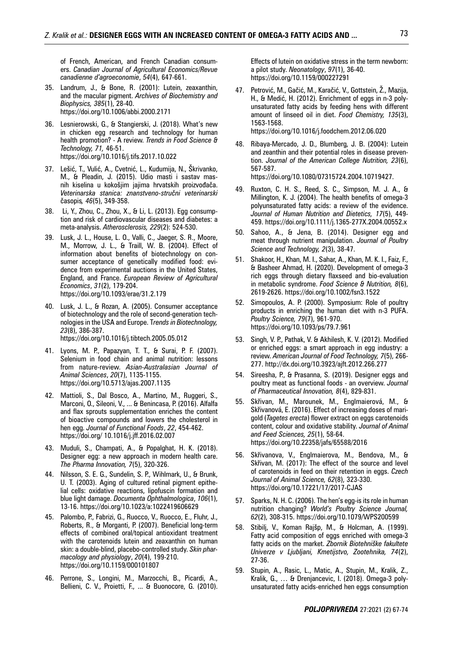of French, American, and French Canadian consumers. *Canadian Journal of Agricultural Economics/Revue canadienne d'agroeconomie*, *54*(4), 647-661.

- 35. Landrum, J., & Bone, R. (2001): Lutein, zeaxanthin, and the macular pigment. *Archives of Biochemistry and Biophysics, 385*(1), 28-40. https://doi.org/10.1006/abbi.2000.2171
- 36. Lesnierowski, G., & Stangierski, J. (2018). What's new in chicken egg research and technology for human health promotion? - A review. *Trends in Food Science & Technology, 71,* 46-51. https://doi.org/10.1016/j.tifs.2017.10.022
- 37. Lešić, T., Vulić, A., Cvetnić, L., Kudumija, N., Škrivanko, M., & Pleadin, J. (2015). Udio masti i sastav masnih kiselina u kokošjim jajima hrvatskih proizvođača. *Veterinarska stanica: znanstveno-stručni veterinarski*  časopis*, 46*(5), 349-358.
- 38. Li, Y., Zhou, C., Zhou, X., & Li, L. (2013). Egg consumption and risk of cardiovascular diseases and diabetes: a meta-analysis. *Atherosclerosis, 229*(2): 524-530.
- 39. Lusk, J. L., House, L. O., Valli, C., Jaeger, S. R., Moore, M., Morrow, J. L., & Traill, W. B. (2004). Effect of information about benefits of biotechnology on consumer acceptance of genetically modified food: evidence from experimental auctions in the United States, England, and France. *European Review of Agricultural Economics*, *31*(2), 179-204. https://doi.org/10.1093/erae/31.2.179
- 40. Lusk, J. L., & Rozan, A. (2005). Consumer acceptance of biotechnology and the role of second-generation technologies in the USA and Europe. T*rends in Biotechnology, 23*(8), 386-387.

https://doi.org/10.1016/j.tibtech.2005.05.012

- 41. Lyons, M. P., Papazyan, T. T., & Surai, P. F. (2007). Selenium in food chain and animal nutrition: lessons from nature-review. *Asian-Australasian Journal of Animal Sciences*, *20*(7), 1135-1155. https://doi.org/10.5713/ajas.2007.1135
- 42. Mattioli, S., Dal Bosco, A., Martino, M., Ruggeri, S., Marconi, O., Sileoni, V., ... & Benincasa, P. (2016). Alfalfa and flax sprouts supplementation enriches the content of bioactive compounds and lowers the cholesterol in hen egg. *Journal of Functional Foods*, *22*, 454-462. https://doi.org/ 10.1016/j.jff.2016.02.007
- 43. Muduli, S., Champati, A., & Popalghat, H. K. (2018). Designer egg: a new approach in modern health care. *The Pharma Innovation, 7*(5), 320-326.
- 44. Nilsson, S. E. G., Sundelin, S. P., Wihlmark, U., & Brunk, U. T. (2003). Aging of cultured retinal pigment epithelial cells: oxidative reactions, lipofuscin formation and blue light damage. *Documenta Ophthalmologica*, *106*(1), 13-16. https://doi.org/10.1023/a:1022419606629
- 45. Palombo, P., Fabrizi, G., Ruocco, V., Ruocco, E., Fluhr, J., Roberts, R., & Morganti, P. (2007). Beneficial long-term effects of combined oral/topical antioxidant treatment with the carotenoids lutein and zeaxanthin on human skin: a double-blind, placebo-controlled study. *Skin pharmacology and physiology*, *20*(4), 199-210. https://doi.org/10.1159/000101807
- 46. Perrone, S., Longini, M., Marzocchi, B., Picardi, A., Bellieni, C. V., Proietti, F., ... & Buonocore, G. (2010).

Effects of lutein on oxidative stress in the term newborn: a pilot study. *Neonatology*, *97*(1), 36-40. https://doi.org/10.1159/000227291

- 47. Petrović, M., Gačić, M., Karačić, V., Gottstein, Ž., Mazija, H., & Medić, H. (2012). Enrichment of eggs in n-3 polyunsaturated fatty acids by feeding hens with different amount of linseed oil in diet. *Food Chemistry, 135*(3), 1563-1568. https://doi.org/10.1016/j.foodchem.2012.06.020
- 48. Ribaya-Mercado, J. D., Blumberg, J. B. (2004): Lutein and zeanthin and their potential roles in disease prevention. *Journal of the American College Nutrition, 23*(6), 567-587. https://doi.org/10.1080/07315724.2004.10719427.
- 49. Ruxton, C. H. S., Reed, S. C., Simpson, M. J. A., & Millington, K. J. (2004). The health benefits of omega-3 polyunsaturated fatty acids: a review of the evidence. *Journal of Human Nutrition and Dietetics, 17*(5), 449- 459. https://doi.org/10.1111/j.1365-277X.2004.00552.x
- 50. Sahoo, A., & Jena, B. (2014). Designer egg and meat through nutrient manipulation. *Journal of Poultry Science and Technology, 2*(3), 38-47.
- 51. Shakoor, H., Khan, M. I., Sahar, A., Khan, M. K. I., Faiz, F., & Basheer Ahmad, H. (2020). Development of omega-3 rich eggs through dietary flaxseed and bio-evaluation in metabolic syndrome. *Food Science & Nutrition, 8*(6), 2619-2626. https://doi.org/10.1002/fsn3.1522
- 52. Simopoulos, A. P. (2000). Symposium: Role of poultry products in enriching the human diet with n-3 PUFA. *Poultry Science, 79*(7), 961-970. https://doi.org/10.1093/ps/79.7.961
- 53. Singh, V. P., Pathak, V. & Akhilesh, K. V. (2012). Modified or enriched eggs: a smart approach in egg industry: a review. *American Journal of Food Technology, 7*(5), 266- 277. http://dx.doi.org/10.3923/ajft.2012.266.277
- 54. Sireesha, P., & Prasanna, S. (2019). Designer eggs and poultry meat as functional foods - an overview. *Journal of Pharmaceutical Innovation, 8*(4), 829-831.
- 55. Skřivan, M., Marounek, M., Englmaierová, M., & Skřivanová, E. (2016). Effect of increasing doses of marigold (*Tagetes erecta*) flower extract on eggs carotenoids content, colour and oxidative stability. *Journal of Animal and Feed Sciences, 25*(1), 58-64. https://doi.org/10.22358/jafs/65588/2016
- 56. Skřivanova, V., Englmaierova, M., Bendova, M., & Skřivan, M. (2017): The effect of the source and level of carotenoids in feed on their retention in eggs. *Czech Journal of Animal Science, 62*(8), 323-330. https://doi.org/10.17221/17/2017-CJAS
- 57. Sparks, N. H. C. (2006). The hen's egg-is its role in human nutrition changing? *World's Poultry Science Journal, 62*(2), 308-315. https://doi.org/10.1079/WPS200599
- Stibilj, V., Koman Rajšp, M., & Holcman, A. (1999). Fatty acid composition of eggs enriched with omega-3 fatty acids on the market. *Zbornik Biotehniške fakultete Univerze v Ljubljani, Kmetijstvo, Zootehnika, 74*(2), 27-36.
- 59. Stupin, A., Rasic, L., Matic, A., Stupin, M., Kralik, Z., Kralik, G., … & Drenjancevic, I. (2018). Omega-3 polyunsaturated fatty acids-enriched hen eggs consumption